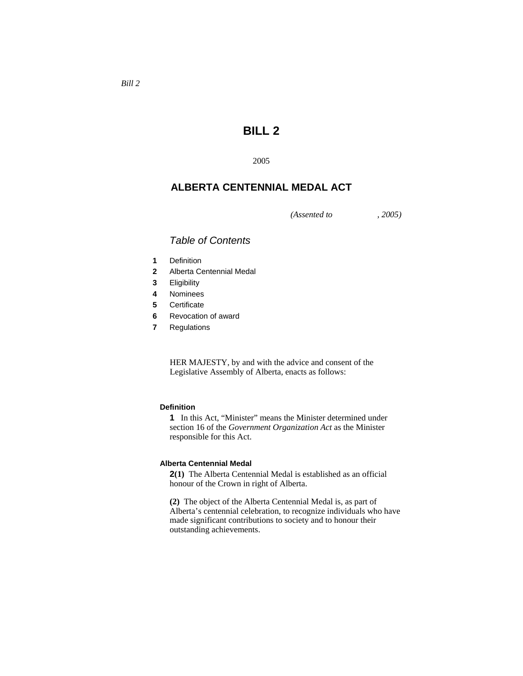# **BILL 2**

2005

## **ALBERTA CENTENNIAL MEDAL ACT**

*(Assented to , 2005)* 

### *Table of Contents*

- **1** Definition
- **2** Alberta Centennial Medal
- **3** Eligibility
- **4** Nominees
- **5** Certificate
- **6** Revocation of award
- **7** Regulations

HER MAJESTY, by and with the advice and consent of the Legislative Assembly of Alberta, enacts as follows:

#### **Definition**

**1** In this Act, "Minister" means the Minister determined under section 16 of the *Government Organization Act* as the Minister responsible for this Act.

#### **Alberta Centennial Medal**

**2(1)** The Alberta Centennial Medal is established as an official honour of the Crown in right of Alberta.

**(2)** The object of the Alberta Centennial Medal is, as part of Alberta's centennial celebration, to recognize individuals who have made significant contributions to society and to honour their outstanding achievements.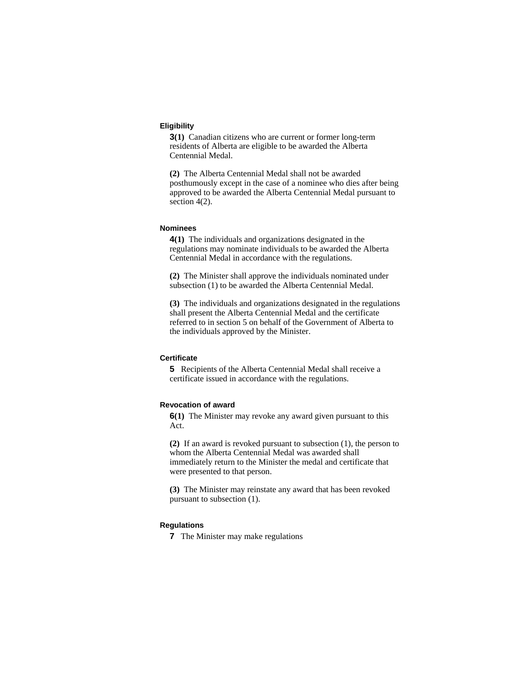#### **Eligibility**

**3(1)** Canadian citizens who are current or former long-term residents of Alberta are eligible to be awarded the Alberta Centennial Medal.

**(2)** The Alberta Centennial Medal shall not be awarded posthumously except in the case of a nominee who dies after being approved to be awarded the Alberta Centennial Medal pursuant to section 4(2).

#### **Nominees**

**4(1)** The individuals and organizations designated in the regulations may nominate individuals to be awarded the Alberta Centennial Medal in accordance with the regulations.

**(2)** The Minister shall approve the individuals nominated under subsection (1) to be awarded the Alberta Centennial Medal.

**(3)** The individuals and organizations designated in the regulations shall present the Alberta Centennial Medal and the certificate referred to in section 5 on behalf of the Government of Alberta to the individuals approved by the Minister.

#### **Certificate**

**5** Recipients of the Alberta Centennial Medal shall receive a certificate issued in accordance with the regulations.

#### **Revocation of award**

**6(1)** The Minister may revoke any award given pursuant to this Act.

**(2)** If an award is revoked pursuant to subsection (1), the person to whom the Alberta Centennial Medal was awarded shall immediately return to the Minister the medal and certificate that were presented to that person.

**(3)** The Minister may reinstate any award that has been revoked pursuant to subsection (1).

### **Regulations**

**7** The Minister may make regulations